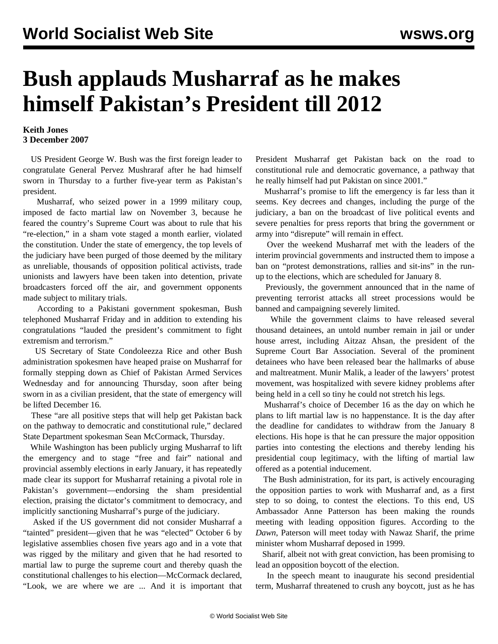## **Bush applauds Musharraf as he makes himself Pakistan's President till 2012**

## **Keith Jones 3 December 2007**

 US President George W. Bush was the first foreign leader to congratulate General Pervez Mushraraf after he had himself sworn in Thursday to a further five-year term as Pakistan's president.

 Musharraf, who seized power in a 1999 military coup, imposed de facto martial law on November 3, because he feared the country's Supreme Court was about to rule that his "re-election," in a sham vote staged a month earlier, violated the constitution. Under the state of emergency, the top levels of the judiciary have been purged of those deemed by the military as unreliable, thousands of opposition political activists, trade unionists and lawyers have been taken into detention, private broadcasters forced off the air, and government opponents made subject to military trials.

 According to a Pakistani government spokesman, Bush telephoned Musharraf Friday and in addition to extending his congratulations "lauded the president's commitment to fight extremism and terrorism."

 US Secretary of State Condoleezza Rice and other Bush administration spokesmen have heaped praise on Musharraf for formally stepping down as Chief of Pakistan Armed Services Wednesday and for announcing Thursday, soon after being sworn in as a civilian president, that the state of emergency will be lifted December 16.

 These "are all positive steps that will help get Pakistan back on the pathway to democratic and constitutional rule," declared State Department spokesman Sean McCormack, Thursday.

 While Washington has been publicly urging Musharraf to lift the emergency and to stage "free and fair" national and provincial assembly elections in early January, it has repeatedly made clear its support for Musharraf retaining a pivotal role in Pakistan's government—endorsing the sham presidential election, praising the dictator's commitment to democracy, and implicitly sanctioning Musharraf's purge of the judiciary.

 Asked if the US government did not consider Musharraf a "tainted" president—given that he was "elected" October 6 by legislative assemblies chosen five years ago and in a vote that was rigged by the military and given that he had resorted to martial law to purge the supreme court and thereby quash the constitutional challenges to his election—McCormack declared, "Look, we are where we are ... And it is important that President Musharraf get Pakistan back on the road to constitutional rule and democratic governance, a pathway that he really himself had put Pakistan on since 2001."

 Musharraf's promise to lift the emergency is far less than it seems. Key decrees and changes, including the purge of the judiciary, a ban on the broadcast of live political events and severe penalties for press reports that bring the government or army into "disrepute" will remain in effect.

 Over the weekend Musharraf met with the leaders of the interim provincial governments and instructed them to impose a ban on "protest demonstrations, rallies and sit-ins" in the runup to the elections, which are scheduled for January 8.

 Previously, the government announced that in the name of preventing terrorist attacks all street processions would be banned and campaigning severely limited.

 While the government claims to have released several thousand detainees, an untold number remain in jail or under house arrest, including Aitzaz Ahsan, the president of the Supreme Court Bar Association. Several of the prominent detainees who have been released bear the hallmarks of abuse and maltreatment. Munir Malik, a leader of the lawyers' protest movement, was hospitalized with severe kidney problems after being held in a cell so tiny he could not stretch his legs.

 Musharraf's choice of December 16 as the day on which he plans to lift martial law is no happenstance. It is the day after the deadline for candidates to withdraw from the January 8 elections. His hope is that he can pressure the major opposition parties into contesting the elections and thereby lending his presidential coup legitimacy, with the lifting of martial law offered as a potential inducement.

 The Bush administration, for its part, is actively encouraging the opposition parties to work with Musharraf and, as a first step to so doing, to contest the elections. To this end, US Ambassador Anne Patterson has been making the rounds meeting with leading opposition figures. According to the *Dawn*, Paterson will meet today with Nawaz Sharif, the prime minister whom Musharraf deposed in 1999.

 Sharif, albeit not with great conviction, has been promising to lead an opposition boycott of the election.

 In the speech meant to inaugurate his second presidential term, Musharraf threatened to crush any boycott, just as he has